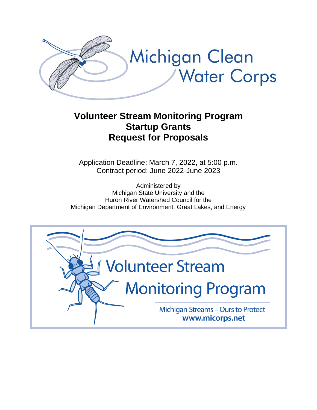

# **Volunteer Stream Monitoring Program Startup Grants Request for Proposals**

Application Deadline: March 7, 2022, at 5:00 p.m. Contract period: June 2022-June 2023

Administered by Michigan State University and the Huron River Watershed Council for the Michigan Department of Environment, Great Lakes, and Energy

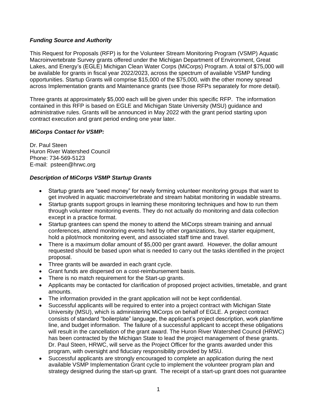## *Funding Source and Authority*

This Request for Proposals (RFP) is for the Volunteer Stream Monitoring Program (VSMP) Aquatic Macroinvertebrate Survey grants offered under the Michigan Department of Environment, Great Lakes, and Energy's (EGLE) Michigan Clean Water Corps (MiCorps) Program. A total of \$75,000 will be available for grants in fiscal year 2022/2023, across the spectrum of available VSMP funding opportunities. Startup Grants will comprise \$15,000 of the \$75,000, with the other money spread across Implementation grants and Maintenance grants (see those RFPs separately for more detail).

Three grants at approximately \$5,000 each will be given under this specific RFP. The information contained in this RFP is based on EGLE and Michigan State University (MSU) guidance and administrative rules. Grants will be announced in May 2022 with the grant period starting upon contract execution and grant period ending one year later.

## *MiCorps Contact for VSMP:*

Dr. Paul Steen Huron River Watershed Council Phone: 734-569-5123 E-mail: psteen@hrwc.org

## *Description of MiCorps VSMP Startup Grants*

- Startup grants are "seed money" for newly forming volunteer monitoring groups that want to get involved in aquatic macroinvertebrate and stream habitat monitoring in wadable streams.
- Startup grants support groups in learning these monitoring techniques and how to run them through volunteer monitoring events. They do not actually do monitoring and data collection except in a practice format.
- Startup grantees can spend the money to attend the MiCorps stream training and annual conferences, attend monitoring events held by other organizations, buy starter equipment, hold a pilot/mock monitoring event, and associated staff time and travel.
- There is a maximum dollar amount of \$5,000 per grant award. However, the dollar amount requested should be based upon what is needed to carry out the tasks identified in the project proposal.
- Three grants will be awarded in each grant cycle.
- Grant funds are dispersed on a cost-reimbursement basis.
- There is no match requirement for the Start-up grants.
- Applicants may be contacted for clarification of proposed project activities, timetable, and grant amounts.
- The information provided in the grant application will not be kept confidential.
- Successful applicants will be required to enter into a project contract with Michigan State University (MSU), which is administering MiCorps on behalf of EGLE. A project contract consists of standard "boilerplate" language, the applicant's project description, work plan/time line, and budget information. The failure of a successful applicant to accept these obligations will result in the cancellation of the grant award. The Huron River Watershed Council (HRWC) has been contracted by the Michigan State to lead the project management of these grants. Dr. Paul Steen, HRWC, will serve as the Project Officer for the grants awarded under this program, with oversight and fiduciary responsibility provided by MSU.
- Successful applicants are strongly encouraged to complete an application during the next available VSMP Implementation Grant cycle to implement the volunteer program plan and strategy designed during the start-up grant. The receipt of a start-up grant does not guarantee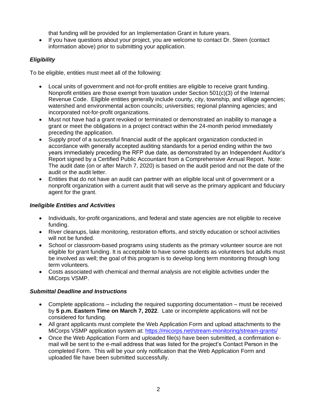that funding will be provided for an Implementation Grant in future years.

• If you have questions about your project, you are welcome to contact Dr. Steen (contact information above) prior to submitting your application.

# *Eligibility*

To be eligible, entities must meet all of the following:

- Local units of government and not-for-profit entities are eligible to receive grant funding. Nonprofit entities are those exempt from taxation under Section 501(c)(3) of the Internal Revenue Code. Eligible entities generally include county, city, township, and village agencies; watershed and environmental action councils; universities; regional planning agencies; and incorporated not-for-profit organizations.
- Must not have had a grant revoked or terminated or demonstrated an inability to manage a grant or meet the obligations in a project contract within the 24-month period immediately preceding the application.
- Supply proof of a successful financial audit of the applicant organization conducted in accordance with generally accepted auditing standards for a period ending within the two years immediately preceding the RFP due date, as demonstrated by an Independent Auditor's Report signed by a Certified Public Accountant from a Comprehensive Annual Report. Note: The audit date (on or after March 7, 2020) is based on the audit period and not the date of the audit or the audit letter.
- Entities that do not have an audit can partner with an eligible local unit of government or a nonprofit organization with a current audit that will serve as the primary applicant and fiduciary agent for the grant.

# *Ineligible Entities and Activities*

- Individuals, for-profit organizations, and federal and state agencies are not eligible to receive funding.
- River cleanups, lake monitoring, restoration efforts, and strictly education or school activities will not be funded.
- School or classroom-based programs using students as the primary volunteer source are not eligible for grant funding. It is acceptable to have some students as volunteers but adults must be involved as well; the goal of this program is to develop long term monitoring through long term volunteers.
- Costs associated with chemical and thermal analysis are not eligible activities under the MiCorps VSMP.

# *Submittal Deadline and Instructions*

- Complete applications including the required supporting documentation must be received by **5 p.m. Eastern Time on March 7, 2022**.Late or incomplete applications will not be considered for funding.
- All grant applicants must complete the Web Application Form and upload attachments to the MiCorps VSMP application system at:<https://micorps.net/stream-monitoring/stream-grants/>
- Once the Web Application Form and uploaded file(s) have been submitted, a confirmation email will be sent to the e-mail address that was listed for the project's Contact Person in the completed Form. This will be your only notification that the Web Application Form and uploaded file have been submitted successfully.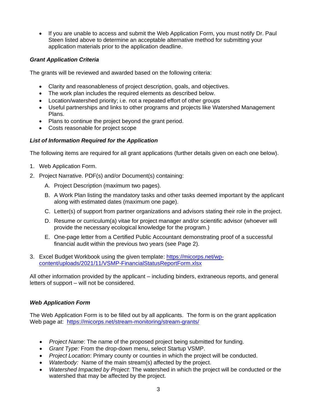• If you are unable to access and submit the Web Application Form, you must notify Dr. Paul Steen listed above to determine an acceptable alternative method for submitting your application materials prior to the application deadline.

## *Grant Application Criteria*

The grants will be reviewed and awarded based on the following criteria:

- Clarity and reasonableness of project description, goals, and objectives.
- The work plan includes the required elements as described below.
- Location/watershed priority; i.e. not a repeated effort of other groups
- Useful partnerships and links to other programs and projects like Watershed Management Plans.
- Plans to continue the project beyond the grant period.
- Costs reasonable for project scope

## *List of Information Required for the Application*

The following items are required for all grant applications (further details given on each one below).

- 1. Web Application Form.
- 2. Project Narrative. PDF(s) and/or Document(s) containing:
	- A. Project Description (maximum two pages).
	- B. A Work Plan listing the mandatory tasks and other tasks deemed important by the applicant along with estimated dates (maximum one page).
	- C. Letter(s) of support from partner organizations and advisors stating their role in the project.
	- D. Resume or curriculum(a) vitae for project manager and/or scientific advisor (whoever will provide the necessary ecological knowledge for the program.)
	- E. One-page letter from a Certified Public Accountant demonstrating proof of a successful financial audit within the previous two years (see Page 2).
- 3. Excel Budget Workbook using the given template: [https://micorps.net/wp](https://micorps.net/wp-content/uploads/2021/11/VSMP-FinancialStatusReportForm.xlsx)[content/uploads/2021/11/VSMP-FinancialStatusReportForm.xlsx](https://micorps.net/wp-content/uploads/2021/11/VSMP-FinancialStatusReportForm.xlsx)

All other information provided by the applicant – including binders, extraneous reports, and general letters of support – will not be considered.

# *Web Application Form*

The Web Application Form is to be filled out by all applicants. The form is on the grant application Web page at: <https://micorps.net/stream-monitoring/stream-grants/>

- *Project Name*: The name of the proposed project being submitted for funding.
- *Grant Type:* From the drop-down menu, select Startup VSMP.
- *Project Location*: Primary county or counties in which the project will be conducted.
- *Waterbody:* Name of the main stream(s) affected by the project.
- *Watershed Impacted by Project*: The watershed in which the project will be conducted or the watershed that may be affected by the project.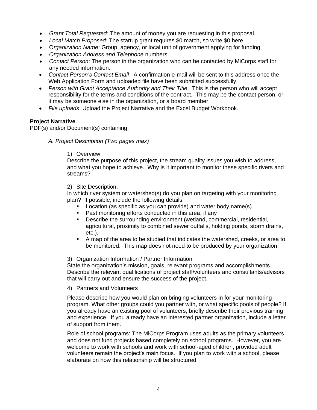- *Grant Total Requested:* The amount of money you are requesting in this proposal.
- *Local Match Proposed:* The startup grant requires \$0 match, so write \$0 here.
- O*rganization Name*: Group, agency, or local unit of government applying for funding.
- *Organization Address and Telephone* numbers.
- *Contact Person*: The person in the organization who can be contacted by MiCorps staff for any needed information.
- *Contact Person's Contact Email* A confirmation e-mail will be sent to this address once the Web Application Form and uploaded file have been submitted successfully.
- *Person with Grant Acceptance Authority and Their Title*. This is the person who will accept responsibility for the terms and conditions of the contract. This may be the contact person, or it may be someone else in the organization, or a board member.
- *File uploads*: Upload the Project Narrative and the Excel Budget Workbook.

#### **Project Narrative**

PDF(s) and/or Document(s) containing:

#### *A. Project Description (Two pages max)*

#### 1) Overview

Describe the purpose of this project, the stream quality issues you wish to address, and what you hope to achieve. Why is it important to monitor these specific rivers and streams?

#### 2) Site Description.

In which river system or watershed(s) do you plan on targeting with your monitoring plan? If possible, include the following details:

- Location (as specific as you can provide) and water body name(s)
- Past monitoring efforts conducted in this area, if any
- Describe the surrounding environment (wetland, commercial, residential, agricultural, proximity to combined sewer outfalls, holding ponds, storm drains, etc.).
- A map of the area to be studied that indicates the watershed, creeks, or area to be monitored. This map does not need to be produced by your organization.

#### 3) Organization Information / Partner Information

State the organization's mission, goals, relevant programs and accomplishments. Describe the relevant qualifications of project staff/volunteers and consultants/advisors that will carry out and ensure the success of the project.

#### 4) Partners and Volunteers

Please describe how you would plan on bringing volunteers in for your monitoring program. What other groups could you partner with, or what specific pools of people? If you already have an existing pool of volunteers, briefly describe their previous training and experience. If you already have an interested partner organization, include a letter of support from them.

Role of school programs: The MiCorps Program uses adults as the primary volunteers and does not fund projects based completely on school programs. However, you are welcome to work with schools and work with school-aged children, provided adult volunteers remain the project's main focus. If you plan to work with a school, please elaborate on how this relationship will be structured.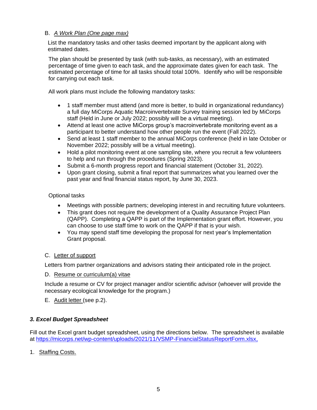## B. *A Work Plan (One page max)*

List the mandatory tasks and other tasks deemed important by the applicant along with estimated dates.

The plan should be presented by task (with sub-tasks, as necessary), with an estimated percentage of time given to each task, and the approximate dates given for each task. The estimated percentage of time for all tasks should total 100%. Identify who will be responsible for carrying out each task.

All work plans must include the following mandatory tasks:

- 1 staff member must attend (and more is better, to build in organizational redundancy) a full day MiCorps Aquatic Macroinvertebrate Survey training session led by MiCorps staff (Held in June or July 2022; possibly will be a virtual meeting).
- Attend at least one active MiCorps group's macroinvertebrate monitoring event as a participant to better understand how other people run the event (Fall 2022).
- Send at least 1 staff member to the annual MiCorps conference (held in late October or November 2022; possibly will be a virtual meeting).
- Hold a pilot monitoring event at one sampling site, where you recruit a few volunteers to help and run through the procedures (Spring 2023).
- Submit a 6-month progress report and financial statement (October 31, 2022).
- Upon grant closing, submit a final report that summarizes what you learned over the past year and final financial status report, by June 30, 2023.

## Optional tasks

- Meetings with possible partners; developing interest in and recruiting future volunteers.
- This grant does not require the development of a Quality Assurance Project Plan (QAPP). Completing a QAPP is part of the Implementation grant effort. However, you can choose to use staff time to work on the QAPP if that is your wish.
- You may spend staff time developing the proposal for next year's Implementation Grant proposal.

## C. Letter of support

Letters from partner organizations and advisors stating their anticipated role in the project.

## D. Resume or curriculum(a) vitae

Include a resume or CV for project manager and/or scientific advisor (whoever will provide the necessary ecological knowledge for the program.)

E. Audit letter (see p.2).

# *3. Excel Budget Spreadsheet*

Fill out the Excel grant budget spreadsheet, using the directions below. The spreadsheet is available at [https://micorps.net/wp-content/uploads/2021/11/VSMP-FinancialStatusReportForm.xlsx,](https://micorps.net/wp-content/uploads/2021/11/VSMP-FinancialStatusReportForm.xlsx)

1. Staffing Costs.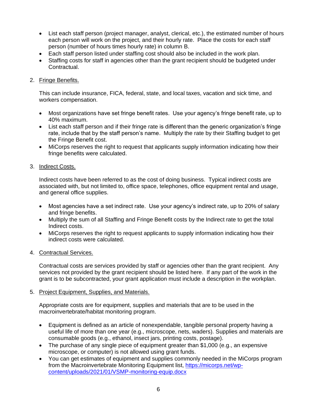- List each staff person (project manager, analyst, clerical, etc.), the estimated number of hours each person will work on the project, and their hourly rate. Place the costs for each staff person (number of hours times hourly rate) in column B.
- Each staff person listed under staffing cost should also be included in the work plan.
- Staffing costs for staff in agencies other than the grant recipient should be budgeted under Contractual.

## 2. Fringe Benefits.

This can include insurance, FICA, federal, state, and local taxes, vacation and sick time, and workers compensation.

- Most organizations have set fringe benefit rates. Use your agency's fringe benefit rate, up to 40% maximum.
- List each staff person and if their fringe rate is different than the generic organization's fringe rate, include that by the staff person's name. Multiply the rate by their Staffing budget to get the Fringe Benefit cost.
- MiCorps reserves the right to request that applicants supply information indicating how their fringe benefits were calculated.

#### 3. Indirect Costs.

Indirect costs have been referred to as the cost of doing business. Typical indirect costs are associated with, but not limited to, office space, telephones, office equipment rental and usage, and general office supplies.

- Most agencies have a set indirect rate. Use your agency's indirect rate, up to 20% of salary and fringe benefits.
- Multiply the sum of all Staffing and Fringe Benefit costs by the Indirect rate to get the total Indirect costs.
- MiCorps reserves the right to request applicants to supply information indicating how their indirect costs were calculated.

## 4. Contractual Services.

Contractual costs are services provided by staff or agencies other than the grant recipient. Any services not provided by the grant recipient should be listed here. If any part of the work in the grant is to be subcontracted, your grant application must include a description in the workplan.

## 5. Project Equipment, Supplies, and Materials.

Appropriate costs are for equipment, supplies and materials that are to be used in the macroinvertebrate/habitat monitoring program.

- Equipment is defined as an article of nonexpendable, tangible personal property having a useful life of more than one year (e.g., microscope, nets, waders). Supplies and materials are consumable goods (e.g., ethanol, insect jars, printing costs, postage).
- The purchase of any single piece of equipment greater than \$1,000 (e.g., an expensive microscope, or computer) is not allowed using grant funds.
- You can get estimates of equipment and supplies commonly needed in the MiCorps program from the Macroinvertebrate Monitoring Equipment list, [https://micorps.net/wp](https://micorps.net/wp-content/uploads/2021/01/VSMP-monitoring-equip.docx)[content/uploads/2021/01/VSMP-monitoring-equip.docx](https://micorps.net/wp-content/uploads/2021/01/VSMP-monitoring-equip.docx)